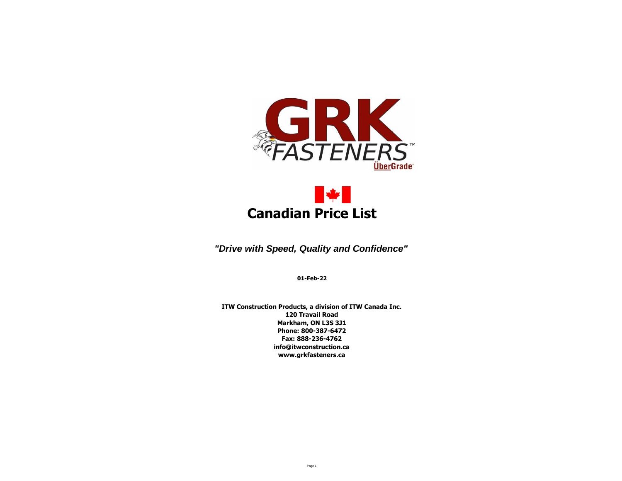



*"Drive with Speed, Quality and Confidence"*

**01-Feb-22**

**ITW Construction Products, a division of ITW Canada Inc. 120 Travail Road Markham, ON L3S 3J1 Phone: 800-387-6472 Fax: 888-236-4762 info@itwconstruction.ca www.grkfasteners.ca**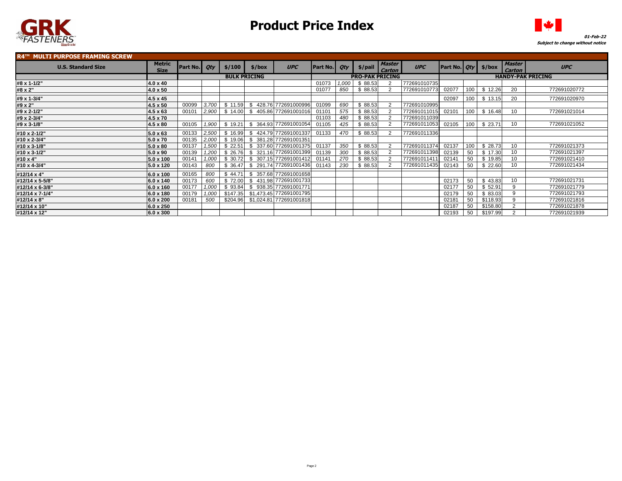



| <b>R4™ MULTI PURPOSE FRAMING SCREW</b> |                              |          |       |         |                     |                                  |          |                        |                          |                         |              |                |     |          |                         |              |
|----------------------------------------|------------------------------|----------|-------|---------|---------------------|----------------------------------|----------|------------------------|--------------------------|-------------------------|--------------|----------------|-----|----------|-------------------------|--------------|
| <b>U.S. Standard Size</b>              | <b>Metric</b><br><b>Size</b> | Part No. | Qty   | \$/100  | \$/box              | <b>UPC</b>                       | Part No. | <b>Qty</b>             | \$/pail                  | <b>Master</b><br>Carton | <b>UPC</b>   | Part No.   Qty |     | \$/box   | <b>Master</b><br>Carton | <b>UPC</b>   |
|                                        |                              |          |       |         | <b>BULK PRICING</b> |                                  |          | <b>PRO-PAK PRICING</b> | <b>HANDY-PAK PRICING</b> |                         |              |                |     |          |                         |              |
| #8 x 1-1/2"                            | $4.0 \times 40$              |          |       |         |                     |                                  | 01073    | 1.000                  | \$88.53                  |                         | 772691010735 |                |     |          |                         |              |
| #8 x 2"                                | $4.0 \times 50$              |          |       |         |                     |                                  | 01077    | 850                    | \$88.53                  |                         | 772691010773 | 02077          | 100 | \$12.26  | 20                      | 772691020772 |
| #9 x 1-3/4"                            | $4.5 \times 45$              |          |       |         |                     |                                  |          |                        |                          |                         |              | 02097          | 100 | \$13.15  | 20                      | 772691020970 |
| #9 x 2"                                | $4.5 \times 50$              | 00099    | 3,700 | \$11.59 | S.                  | 428.76 772691000996              | 01099    | 690                    | \$88.53                  |                         | 772691010995 |                |     |          |                         |              |
| #9 x 2-1/2"                            | $4.5 \times 63$              | 00101    | 2,900 | \$14.00 | - \$                | 405.86 772691001016              | 01101    | 575                    | \$88.53                  |                         | 772691011015 | 02101          | 100 | \$16.48  | 10                      | 772691021014 |
| #9 x 2-3/4"                            | $4.5 \times 70$              |          |       |         |                     |                                  | 01103    | 480                    | \$88.53                  |                         | 772691011039 |                |     |          |                         |              |
| #9 x 3-1/8"                            | $4.5 \times 80$              | 00105    | 1,900 | \$19.21 | \$                  | 364.93 772691001054              | 01105    | 425                    | \$88.53                  |                         | 772691011053 | 02105          | 100 | \$23.71  | 10                      | 772691021052 |
| #10 x 2-1/2"                           | $5.0 \times 63$              | 00133    | 2.500 | \$16.99 | $\mathcal{L}$       | 424.79 772691001337 01133        |          | 470                    | \$88.53                  |                         | 772691011336 |                |     |          |                         |              |
| #10 x 2-3/4"                           | $5.0 \times 70$              | 00135    | 2,000 | \$19.06 | -S                  | 381.28 772691001351              |          |                        |                          |                         |              |                |     |          |                         |              |
| #10 x 3-1/8"                           | $5.0 \times 80$              | 00137    | 1.500 | \$22.51 |                     | \$ 337.60 772691001375           | 01137    | 350                    | \$88.53                  | $\overline{2}$          | 772691011374 | 02137          | 100 | \$28.73  | 10                      | 772691021373 |
| #10 x 3-1/2"                           | $5.0 \times 90$              | 00139    | 1.200 | \$26.76 | \$                  | 321.16 772691001399              | 01139    | 300                    | \$88.53                  |                         | 772691011398 | 02139          | 50  | \$17.30  | 10                      | 772691021397 |
| #10 x 4"                               | $5.0 \times 100$             | 00141    | 1.000 | \$30.72 |                     | \$ 307.15 772691001412           | 01141    | 270                    | \$88.53                  |                         | 77269101141  | 02141          | 50  | \$19.85  | 10                      | 772691021410 |
| #10 x 4-3/4"                           | $5.0 \times 120$             | 00143    | 800   | \$36.47 |                     | \$ 291.74 772691001436 01143     |          | 230                    | \$88.53                  |                         | 772691011435 | 02143          | 50  | \$22.60  | 10                      | 772691021434 |
| #12/14 x 4"                            | $6.0 \times 100$             | 00165    | 800   | \$44.71 | \$                  | 357.68 772691001658              |          |                        |                          |                         |              |                |     |          |                         |              |
| #12/14 x 5-5/8"                        | $6.0 \times 140$             | 00173    | 600   | \$72.00 |                     | \$431.98 772691001733            |          |                        |                          |                         |              | 02173          | 50  | \$43.83  | 10                      | 772691021731 |
| #12/14 x 6-3/8"                        | $6.0 \times 160$             | 00177    | 1.000 | \$93.84 |                     | \$938.35 772691001771            |          |                        |                          |                         |              | 02177          | 50  | \$52.91  | 9                       | 772691021779 |
| #12/14 x 7-1/4"                        | $6.0 \times 180$             | 00179    | 1.000 |         |                     | \$147.35 \$1,473.45 772691001795 |          |                        |                          |                         |              | 02179          | 50  | \$83.03  | 9                       | 772691021793 |
| #12/14 x 8"                            | $6.0 \times 200$             | 00181    | 500   |         |                     | \$204.96 \$1,024.81 772691001818 |          |                        |                          |                         |              | 02181          | 50  | \$118.93 | 9                       | 772691021816 |
| #12/14 x 10"                           | $6.0 \times 250$             |          |       |         |                     |                                  |          |                        |                          |                         |              | 02187          | 50  | \$158.80 |                         | 772691021878 |
| #12/14 x 12"                           | 6.0 x 300                    |          |       |         |                     |                                  |          |                        |                          |                         |              | 02193          | 50  | \$197.99 |                         | 772691021939 |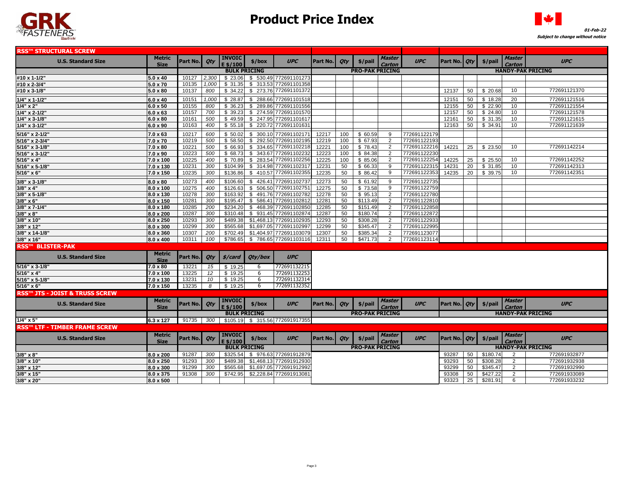



| <b>RSS™ STRUCTURAL SCREW</b>              |                       |          |       |                                   |          |                                  |          |     |                        |                         |              |                     |            |           |                         |                          |
|-------------------------------------------|-----------------------|----------|-------|-----------------------------------|----------|----------------------------------|----------|-----|------------------------|-------------------------|--------------|---------------------|------------|-----------|-------------------------|--------------------------|
| <b>U.S. Standard Size</b>                 | Metric                | Part No. | Qty   | <b>INVOIC</b>                     | \$/box   | <b>UPC</b>                       | Part No. | Qty | \$/pail                | <b>Master</b>           | <b>UPC</b>   | Part No. <i>Qty</i> |            | \$/pail   | <b>Master</b>           | <b>UPC</b>               |
|                                           | <b>Size</b>           |          |       | $E$ \$/100<br><b>BULK PRICING</b> |          |                                  |          |     | <b>PRO-PAK PRICING</b> |                         |              |                     |            |           | Carton                  | <b>HANDY-PAK PRICING</b> |
| #10 x 1-1/2"                              | $5.0 \times 40$       | 10127    | 2,300 | \$23.06                           |          | \$530.49772691101273             |          |     |                        |                         |              |                     |            |           |                         |                          |
| #10 x 2-3/4"                              | 5.0 x 70              | 10135    | 1.000 | \$31.35                           | \$313.53 | 772691101358                     |          |     |                        |                         |              |                     |            |           |                         |                          |
| #10 x 3-1/8"                              | 5.0 x 80              | 10137    | 800   | \$34.22                           |          | \$273.76 772691101372            |          |     |                        |                         |              | 12137               | 50         | \$20.68   | 10                      | 772691121370             |
| $1/4$ " x 1-1/2"                          | 6.0 x 40              | 10151    | 1,000 | \$28.87                           |          | \$288.66 772691101518            |          |     |                        |                         |              | 12151               | 50         | \$18.28   | 20                      | 772691121516             |
| $1/4" \times 2"$                          | $6.0 \times 50$       | 10155    | 800   | \$36.23                           |          | \$289.86 772691101556            |          |     |                        |                         |              | 12155               | 50         | \$22.90   | 10                      | 772691121554             |
| $1/4"$ x 2-1/2"                           | 6.0 x 63              | 10157    | 700   | \$39.23                           |          | \$274.59 772691101570            |          |     |                        |                         |              | 12157               | 50         | \$24.80   | 10                      | 772691121578             |
| $1/4$ " x 3-1/8"                          | $6.0 \times 80$       | 10161    | 500   | \$49.59                           |          | \$247.95 772691101617            |          |     |                        |                         |              | 12161               | 50         | \$31.35   | 10 <sup>1</sup>         | 772691121615             |
| $1/4$ " x 3-1/2"                          | 6.0 x 90              | 10163    | 400   | \$55.18                           |          | \$220.72 772691101631            |          |     |                        |                         |              | 12163               | 50         | \$34.91   | 10                      | 772691121639             |
| 5/16" x 2-1/2"                            | $7.0 \times 63$       | 10217    | 600   | \$50.02                           |          | \$ 300.10 772691102171           | 12217    | 100 | \$ 60.59               | 9                       | 772691122179 |                     |            |           |                         |                          |
| 5/16" x 2-3/4"                            | $7.0 \times 70$       | 10219    | 500   | \$58.50                           | \$292.50 | 772691102195                     | 12219    | 100 | \$ 67.93               | 2                       | 772691122193 |                     |            |           |                         |                          |
| 5/16" x 3-1/8"                            | 7.0 x 80              | 10221    | 500   | \$66.93                           |          | \$ 334.65 772691102218           | 12221    | 100 | \$78.43                | 2                       | 772691122216 | 14221               | 25         | \$23.50   | 10                      | 772691142214             |
| 5/16" x 3-1/2"                            | 7.0 x 90              | 10223    | 500   | \$68.73                           |          | \$343.67 77269110223             | 12223    | 100 | \$84.38                | 2                       | 772691122230 |                     |            |           |                         |                          |
| 5/16" x 4"                                | 7.0 x 100             | 10225    | 400   | \$70.89                           |          | \$283.54 772691102256            | 12225    | 100 | \$85.06                | 2                       | 772691122254 | 14225               | 25         | \$25.50   | 10                      | 772691142252             |
| 5/16" x 5-1/8"                            | 7.0 x 130             | 10231    | 300   | \$104.99                          |          | \$ 314.98 77269110231            | 12231    | 50  | \$ 66.33               | 9                       | 772691122315 | 14231               | 20         | \$31.85   | 10                      | 772691142313             |
| $5/16" \times 6"$                         | 7.0 x 150             | 10235    | 300   | \$136.86                          |          | \$410.57 772691102355            | 12235    | 50  | \$86.42                | 9                       | 772691122353 | 14235               | 20         | \$ 39.75  | 10                      | 772691142351             |
| 3/8" x 3-1/8"                             | $8.0 \times 80$       | 10273    | 400   | \$106.60                          | \$       | 426.41 772691102737              | 12273    | 50  | \$61.92                | 9                       | 772691122735 |                     |            |           |                         |                          |
| $3/8" \times 4"$                          | $8.0 \times 100$      | 10275    | 400   | \$126.63                          |          | \$506.50 772691102751            | 12275    | 50  | \$73.58                | 9                       | 772691122759 |                     |            |           |                         |                          |
| 3/8" x 5-1/8"                             | 8.0 x 130             | 10278    | 300   | \$163.92                          |          | \$491.76 772691102782            | 12278    | 50  | \$95.13                | 2                       | 772691122780 |                     |            |           |                         |                          |
| $3/8" \times 6"$                          | 8.0 x 150             | 10281    | 300   | \$195.47                          |          | \$586.41 772691102812            | 12281    | 50  | \$113.49               | 2                       | 772691122810 |                     |            |           |                         |                          |
| 3/8" x 7-1/4"                             | 8.0 x 180             | 10285    | 200   | \$234.20                          |          | \$468.39 772691102850            | 12285    | 50  | \$151.49               | 2                       | 772691122858 |                     |            |           |                         |                          |
| $3/8" \times 8"$                          | 8.0 x 200             | 10287    | 300   | \$310.48                          |          | \$931.45 772691102874            | 12287    | 50  | \$180.74               | 2                       | 772691122872 |                     |            |           |                         |                          |
| 3/8" x 10"                                | 8.0 x 250             | 10293    | 300   | \$489.38                          |          | \$1,468.13 772691102935          | 12293    | 50  | \$308.28               | 2                       | 772691122933 |                     |            |           |                         |                          |
| 3/8" x 12"                                | 8.0 x 300             | 10299    | 300   | \$565.68                          |          | \$1,697.05 772691102997          | 12299    | 50  | \$345.47               | 2                       | 772691122995 |                     |            |           |                         |                          |
| 3/8" x 14-1/8"                            | 8.0 x 360             | 10307    | 200   | \$702.49                          |          | \$1,404.97 772691103079          | 12307    | 50  | \$385.34               | 2                       | 772691123077 |                     |            |           |                         |                          |
| 3/8" x 16"                                | 8.0 x 400             | 10311    | 100   | \$786.65                          |          | \$786.65 772691103116            | 12311    | 50  | \$471.73               | 2                       | 772691123114 |                     |            |           |                         |                          |
| <b>RSS™ BLISTER-PAK</b>                   |                       |          |       |                                   |          |                                  |          |     |                        |                         |              |                     |            |           |                         |                          |
| <b>U.S. Standard Size</b>                 | Metric<br><b>Size</b> | Part No. | Qty   | \$/card                           | Qty/box  | <b>UPC</b>                       |          |     |                        |                         |              |                     |            |           |                         |                          |
| 5/16" x 3-1/8"                            | 7.0 x 80              | 13221    | 15    | \$19.25                           | 6        | 772691132215                     |          |     |                        |                         |              |                     |            |           |                         |                          |
| 5/16" x 4"                                | $7.0 \times 100$      | 13225    | 12    | \$19.25                           | 6        | 772691132253                     |          |     |                        |                         |              |                     |            |           |                         |                          |
| 5/16" x 5-1/8"                            | $7.0 \times 130$      | 13231    | 10    | \$19.25                           | 6        | 772691132314                     |          |     |                        |                         |              |                     |            |           |                         |                          |
| 5/16" x 6"                                | 7.0 x 150             | 13235    | 8     | \$19.25                           | 6        | 772691132352                     |          |     |                        |                         |              |                     |            |           |                         |                          |
| <b>RSS™ JTS - JOIST &amp; TRUSS SCREW</b> |                       |          |       |                                   |          |                                  |          |     |                        |                         |              |                     |            |           |                         |                          |
|                                           | Metric                |          |       | <b>INVOIC</b>                     |          |                                  |          |     |                        | <b>Master</b>           |              |                     |            |           | <b>Master</b>           |                          |
| <b>U.S. Standard Size</b>                 | <b>Size</b>           | Part No. | Qty   | $E$ \$/100                        | \$/box   | <b>UPC</b>                       | Part No. | Qty | \$/pail                | Carton                  | <b>UPC</b>   | Part No. <i>Qty</i> |            | \$/pail   | Carton                  | <b>UPC</b>               |
|                                           |                       |          |       | <b>BULK PRICING</b>               |          |                                  |          |     | <b>PRO-PAK PRICING</b> |                         |              |                     |            |           |                         | <b>HANDY-PAK PRICING</b> |
| $1/4" \times 5"$                          | 6.3 x 127             | 91735    | 300   |                                   |          | $$105.19$ $$315.56$ 772691917355 |          |     |                        |                         |              |                     |            |           |                         |                          |
| <b>RSS™ LTF - TIMBER FRAME SCREW</b>      |                       |          |       |                                   |          |                                  |          |     |                        |                         |              |                     |            |           |                         |                          |
| <b>U.S. Standard Size</b>                 | Metric<br><b>Size</b> | Part No. | Qty   | <b>INVOIC</b><br>E \$/100         | \$/box   | <b>UPC</b>                       | Part No. | Qty | \$/pail                | <b>Master</b><br>Carton | <b>UPC</b>   | Part No.            | <b>Qty</b> | $$/$ pail | <b>Master</b><br>Carton | <b>UPC</b>               |
|                                           |                       |          |       | <b>BULK PRICING</b>               |          |                                  |          |     | <b>PRO-PAK PRICING</b> |                         |              |                     |            |           |                         | <b>HANDY-PAK PRICING</b> |
| $3/8" \times 8"$                          | 8.0 x 200             | 91287    | 300   | \$325.54                          |          | \$976.63 772691912879            |          |     |                        |                         |              | 93287               | 50         | \$180.74  | 2                       | 772691932877             |
| 3/8" x 10"                                | 8.0 x 250             | 91293    | 300   | \$489.38                          |          | \$1.468.13 772691912930          |          |     |                        |                         |              | 93293               | 50         | \$308.28  | 2                       | 772691932938             |
| 3/8" x 12"                                | 8.0 x 300             | 91299    | 300   | \$565.68                          |          | \$1,697.05 772691912992          |          |     |                        |                         |              | 93299               | 50         | \$345.47  | $\overline{2}$          | 772691932990             |
| 3/8" x 15"                                | 8.0 x 375             | 91308    | 300   | \$742.95                          |          | \$2,228.84 772691913081          |          |     |                        |                         |              | 93308               | 50         | \$427.22  | 2                       | 772691933089             |
| 3/8" x 20"                                | 8.0 x 500             |          |       |                                   |          |                                  |          |     |                        |                         |              | 93323               | 25         | \$281.91  | 6                       | 772691933232             |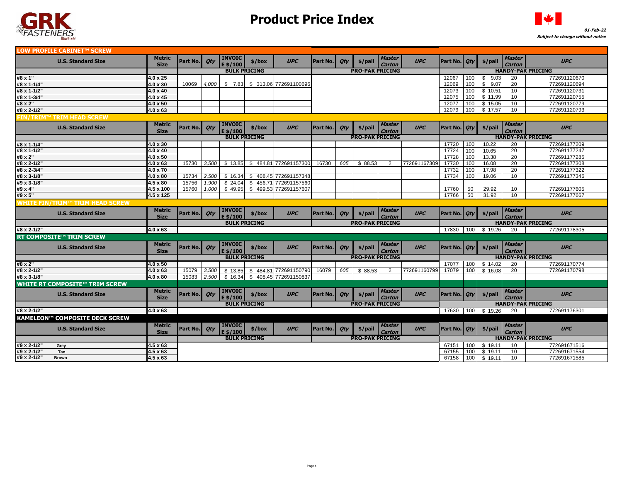



| LOW PROFILE CABINET™ SCREW             |                              |                |       |                           |        |                                |          |            |                        |                                |              |                     |     |             |                                |                          |
|----------------------------------------|------------------------------|----------------|-------|---------------------------|--------|--------------------------------|----------|------------|------------------------|--------------------------------|--------------|---------------------|-----|-------------|--------------------------------|--------------------------|
| <b>U.S. Standard Size</b>              | <b>Metric</b><br><b>Size</b> | Part No.       | Oty   | <b>INVOIC</b><br>E \$/100 | \$/box | <b>UPC</b>                     | Part No. | Qty        | $$$ /pail              | <b>Master</b><br>Carton        | <b>UPC</b>   | Part No.   Qty      |     | $$/$ pail   | Master<br><b>Carton</b>        | <b>UPC</b>               |
|                                        |                              |                |       | <b>BULK PRICING</b>       |        |                                |          |            | <b>PRO-PAK PRICING</b> |                                |              |                     |     |             |                                | <b>HANDY-PAK PRICING</b> |
| #8 x 1"                                | $4.0 \times 25$              |                |       |                           |        |                                |          |            |                        |                                |              | 12067               | 100 | \$9.03      | 20                             | 772691120670             |
| #8 x 1-1/4"                            | $4.0 \times 30$              | 10069          | 4.000 |                           |        | \$ 7.83 \$ 313.06 772691100696 |          |            |                        |                                |              | 12069               | 100 | \$<br>9.07  | 20                             | 772691120694             |
| #8 x 1-1/2"                            | $4.0 \times 40$              |                |       |                           |        |                                |          |            |                        |                                |              | 12073               | 100 | \$10.51     | 10                             | 772691120731             |
| #8 x 1-3/4"                            | $4.0 \times 45$              |                |       |                           |        |                                |          |            |                        |                                |              | 12075               | 100 | \$11.99     | 10                             | 772691120755             |
| #8 x 2"                                | $4.0 \times 50$              |                |       |                           |        |                                |          |            |                        |                                |              | 12077               | 100 | \$15.05     | 10                             | 772691120779             |
| #8 x 2-1/2"                            | $4.0 \times 63$              |                |       |                           |        |                                |          |            |                        |                                |              | 12079               | 100 | \$17.57     | 10                             | 772691120793             |
| ™ TRIM HEAD SCREW<br><b>IN/TRIM'</b>   |                              |                |       |                           |        |                                |          |            |                        |                                |              |                     |     |             |                                |                          |
| <b>U.S. Standard Size</b>              | <b>Metric</b><br><b>Size</b> | Part No.       | Oty   | <b>INVOIC</b><br>E \$/100 | \$/box | <b>UPC</b>                     | Part No. | Qty        | $$$ /pail              | <b>Master</b><br>Carton        | <b>UPC</b>   | Part No. <i>Qty</i> |     | \$/pail     | Master<br>Carton               | <b>UPC</b>               |
|                                        |                              |                |       | <b>BULK PRICING</b>       |        |                                |          |            | <b>PRO-PAK PRICING</b> |                                |              |                     |     |             |                                | <b>HANDY-PAK PRICING</b> |
| #8 x 1-1/4"                            | $4.0 \times 30$              |                |       |                           |        |                                |          |            |                        |                                |              | 17720               | 100 | 10.22       | 20                             | 772691177209             |
| #8 x 1-1/2"                            | $4.0 \times 40$              |                |       |                           |        |                                |          |            |                        |                                |              | 17724               | 100 | 10.65       | $\overline{20}$                | 772691177247             |
| #8 x 2"                                | $4.0 \times 50$              |                |       |                           |        |                                |          |            |                        |                                |              | 17728               | 100 | 13.38       | 20                             | 772691177285             |
| #8 x 2-1/2"                            | $4.0 \times 63$              | 15730          | 3,500 | \$13.85                   | \$     | 484.81 772691157300            | 16730    | 605        | \$88.53                | 2                              | 772691167309 | 17730               | 100 | 16.08       | 20                             | 772691177308             |
| #8 x 2-3/4"                            | $4.0 \times 70$              |                |       |                           |        |                                |          |            |                        |                                |              | 17732               | 100 | 17.98       | 20                             | 772691177322             |
| #8 x 3-1/8"                            | $4.0 \times 80$              | 15734          | 2,500 | \$16.34                   | \$     | 408.45 772691157348            |          |            |                        |                                |              | 17734               | 100 | 19.06       | 10                             | 772691177346             |
| #9 x 3-1/8"                            | $4.5 \times 80$              | 15756          | 1,900 | \$24.04                   |        | \$456.71 772691157560          |          |            |                        |                                |              |                     |     |             |                                |                          |
| #9 x 4"                                | 4.5 x 100                    | 15760          | 1,000 | \$49.95                   |        | \$499.53772691157607           |          |            |                        |                                |              | 17760               | 50  | 29.92       | 10                             | 772691177605             |
| #9 x 5"                                | 4.5 x 125                    |                |       |                           |        |                                |          |            |                        |                                |              | 17766               | 50  | 31.92       | 10                             | 772691177667             |
| <b>NHITE FIN/TRIM™ TRIM HEAD SCREW</b> |                              |                |       |                           |        |                                |          |            |                        |                                |              |                     |     |             |                                |                          |
| <b>U.S. Standard Size</b>              | <b>Metric</b>                | Part No.       | Oty   | <b>INVOIC</b>             | \$/box | <b>UPC</b>                     | Part No. | Qty        | $$$ /pail              | <b>Master</b>                  | <b>UPC</b>   | Part No.   Qty      |     | \$/pail     | <b>Master</b>                  | <b>UPC</b>               |
|                                        | <b>Size</b>                  |                |       | $E$ \$/100                |        |                                |          |            |                        | Carton                         |              |                     |     |             | <b>Carton</b>                  |                          |
|                                        |                              |                |       | <b>BULK PRICING</b>       |        |                                |          |            | <b>PRO-PAK PRICING</b> |                                |              |                     |     |             |                                | <b>HANDY-PAK PRICING</b> |
| #8 x 2-1/2"                            | $4.0 \times 63$              |                |       |                           |        |                                |          |            |                        |                                |              | 17830               |     | 100 \$19.26 | 20                             | 772691178305             |
| <b>RT COMPOSITE™ TRIM SCREW</b>        |                              |                |       |                           |        |                                |          |            |                        |                                |              |                     |     |             |                                |                          |
| <b>U.S. Standard Size</b>              | <b>Metric</b>                |                |       |                           |        |                                |          |            |                        |                                |              |                     |     |             |                                |                          |
|                                        |                              |                |       | <b>INVOIC</b>             |        |                                |          |            |                        | <b>Master</b>                  |              |                     |     |             | <b>Master</b>                  |                          |
|                                        | <b>Size</b>                  | Part No.       | Qty   | $E$ \$/100                | \$/box | <b>UPC</b>                     | Part No. | Qty        | $$$ /pail              | Carton                         | <b>UPC</b>   | Part No.   Qty      |     | \$/pail     | Carton                         | <b>UPC</b>               |
|                                        |                              |                |       | <b>BULK PRICING</b>       |        |                                |          |            | <b>PRO-PAK PRICING</b> |                                |              |                     |     |             |                                | <b>HANDY-PAK PRICING</b> |
| #8 x 2"                                | $4.0 \times 50$              |                |       |                           |        |                                |          |            |                        |                                |              | 17077               | 100 | \$14.02     | 20                             | 772691170774             |
| #8 x 2-1/2"                            | $4.0 \times 63$              | 15079          | 3,500 | \$13.85                   |        | \$484.81 772691150790          | 16079    | 605        | \$88.53                | 2                              | 772691160799 | 17079               | 100 | \$16.08     | 20                             | 772691170798             |
| #8 x 3-1/8"                            | $4.0 \times 80$              | 15083          | 2.500 | \$16.34                   |        | \$408.45 772691150837          |          |            |                        |                                |              |                     |     |             |                                |                          |
| <b>WHITE RT COMPOSITE™ TRIM SCREW</b>  |                              |                |       |                           |        |                                |          |            |                        |                                |              |                     |     |             |                                |                          |
| <b>U.S. Standard Size</b>              | <b>Metric</b>                |                |       | <b>INVOIC</b>             |        | <b>UPC</b>                     | Part No. |            |                        | <b>Master</b>                  | <b>UPC</b>   |                     |     |             | <b>Master</b>                  | <b>UPC</b>               |
|                                        | <b>Size</b>                  | Part No.       | Qty   | E \$/100                  | \$/box |                                |          | Qty        | \$/pail                | Carton                         |              | Part No.   Oty      |     | $$/$ pail   | <b>Carton</b>                  |                          |
|                                        |                              |                |       | <b>BULK PRICING</b>       |        |                                |          |            | <b>PRO-PAK PRICING</b> |                                |              |                     |     |             |                                | <b>HANDY-PAK PRICING</b> |
| #8 x 2-1/2"                            | 4.0 x 63                     |                |       |                           |        |                                |          |            |                        |                                |              | 17630               |     | 100 \$19.26 | 20                             | 772691176301             |
| <b>KAMELEON™ COMPOSITE DECK SCREW</b>  |                              |                |       |                           |        |                                |          |            |                        |                                |              |                     |     |             |                                |                          |
| <b>U.S. Standard Size</b>              | <b>Metric</b><br><b>Size</b> | Part No.   Qty |       | <b>INVOIC</b><br>5/100    | \$/box | <b>UPC</b>                     | Part No. | <b>Qty</b> | \$/pail                | <b>Master</b><br><b>Carton</b> | <b>UPC</b>   | Part No. <i>Qty</i> |     | \$/pail     | <b>Master</b><br><b>Carton</b> | <b>UPC</b>               |
|                                        |                              |                |       | <b>BULK PRICING</b>       |        |                                |          |            | <b>PRO-PAK PRICING</b> |                                |              |                     |     |             |                                | <b>HANDY-PAK PRICING</b> |
| #9 x 2-1/2"<br>Grey                    | $4.5 \times 63$              |                |       |                           |        |                                |          |            |                        |                                |              | 67151               | 100 | \$19.11     | 10 <sup>1</sup>                | 772691671516             |
| #9 x 2-1/2"<br>Tan<br>#9 x 2-1/2'      | $4.5 \times 63$              |                |       |                           |        |                                |          |            |                        |                                |              | 67155               | 100 | \$19.11     | 10                             | 772691671554             |